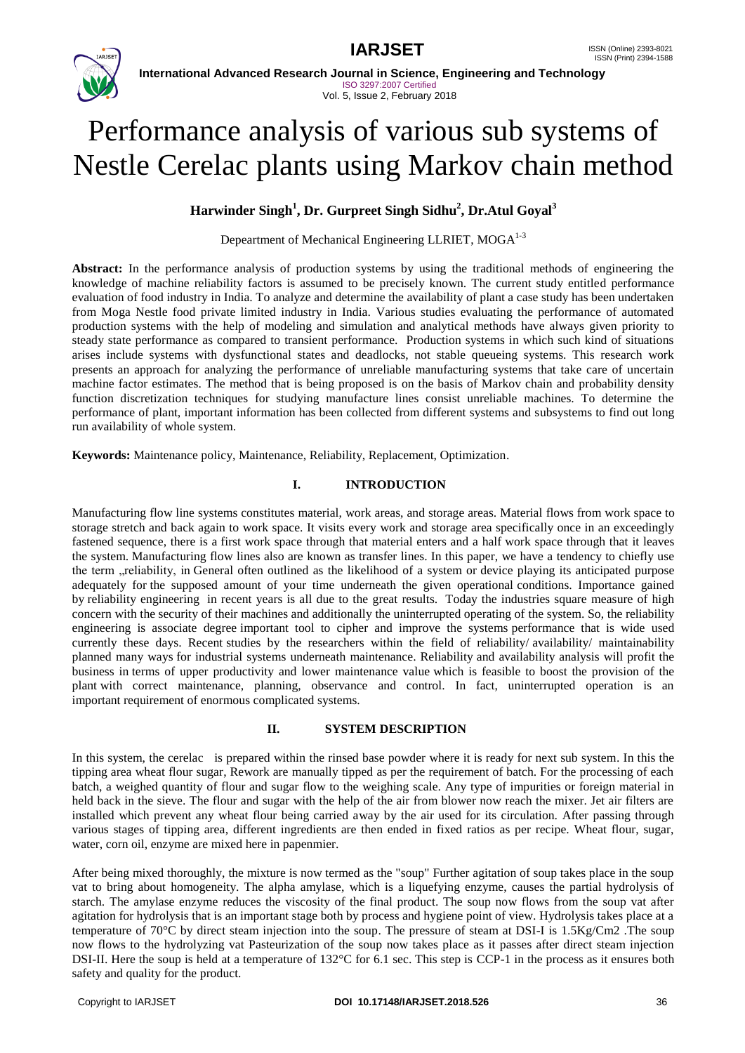



**International Advanced Research Journal in Science, Engineering and Technology** ISO 3297:2007 Certified Vol. 5, Issue 2, February 2018

# Performance analysis of various sub systems of Nestle Cerelac plants using Markov chain method

# **Harwinder Singh<sup>1</sup> , Dr. Gurpreet Singh Sidhu<sup>2</sup> , Dr.Atul Goyal<sup>3</sup>**

Depeartment of Mechanical Engineering LLRIET, MOGA<sup>1-3</sup>

Abstract: In the performance analysis of production systems by using the traditional methods of engineering the knowledge of machine reliability factors is assumed to be precisely known. The current study entitled performance evaluation of food industry in India. To analyze and determine the availability of plant a case study has been undertaken from Moga Nestle food private limited industry in India. Various studies evaluating the performance of automated production systems with the help of modeling and simulation and analytical methods have always given priority to steady state performance as compared to transient performance. Production systems in which such kind of situations arises include systems with dysfunctional states and deadlocks, not stable queueing systems. This research work presents an approach for analyzing the performance of unreliable manufacturing systems that take care of uncertain machine factor estimates. The method that is being proposed is on the basis of Markov chain and probability density function discretization techniques for studying manufacture lines consist unreliable machines. To determine the performance of plant, important information has been collected from different systems and subsystems to find out long run availability of whole system.

**Keywords:** Maintenance policy, Maintenance, Reliability, Replacement, Optimization.

# **I. INTRODUCTION**

Manufacturing flow line systems constitutes material, work areas, and storage areas. Material flows from work space to storage stretch and back again to work space. It visits every work and storage area specifically once in an exceedingly fastened sequence, there is a first work space through that material enters and a half work space through that it leaves the system. Manufacturing flow lines also are known as transfer lines. In this paper, we have a tendency to chiefly use the term "reliability, in General often outlined as the likelihood of a system or device playing its anticipated purpose adequately for the supposed amount of your time underneath the given operational conditions. Importance gained by reliability engineering in recent years is all due to the great results. Today the industries square measure of high concern with the security of their machines and additionally the uninterrupted operating of the system. So, the reliability engineering is associate degree important tool to cipher and improve the systems performance that is wide used currently these days. Recent studies by the researchers within the field of reliability/ availability/ maintainability planned many ways for industrial systems underneath maintenance. Reliability and availability analysis will profit the business in terms of upper productivity and lower maintenance value which is feasible to boost the provision of the plant with correct maintenance, planning, observance and control. In fact, uninterrupted operation is an important requirement of enormous complicated systems.

# **II. SYSTEM DESCRIPTION**

In this system, the cerelac is prepared within the rinsed base powder where it is ready for next sub system. In this the tipping area wheat flour sugar, Rework are manually tipped as per the requirement of batch. For the processing of each batch, a weighed quantity of flour and sugar flow to the weighing scale. Any type of impurities or foreign material in held back in the sieve. The flour and sugar with the help of the air from blower now reach the mixer. Jet air filters are installed which prevent any wheat flour being carried away by the air used for its circulation. After passing through various stages of tipping area, different ingredients are then ended in fixed ratios as per recipe. Wheat flour, sugar, water, corn oil, enzyme are mixed here in papenmier.

After being mixed thoroughly, the mixture is now termed as the "soup" Further agitation of soup takes place in the soup vat to bring about homogeneity. The alpha amylase, which is a liquefying enzyme, causes the partial hydrolysis of starch. The amylase enzyme reduces the viscosity of the final product. The soup now flows from the soup vat after agitation for hydrolysis that is an important stage both by process and hygiene point of view. Hydrolysis takes place at a temperature of 70°C by direct steam injection into the soup. The pressure of steam at DSI-I is 1.5Kg/Cm2 .The soup now flows to the hydrolyzing vat Pasteurization of the soup now takes place as it passes after direct steam injection DSI-II. Here the soup is held at a temperature of 132°C for 6.1 sec. This step is CCP-1 in the process as it ensures both safety and quality for the product.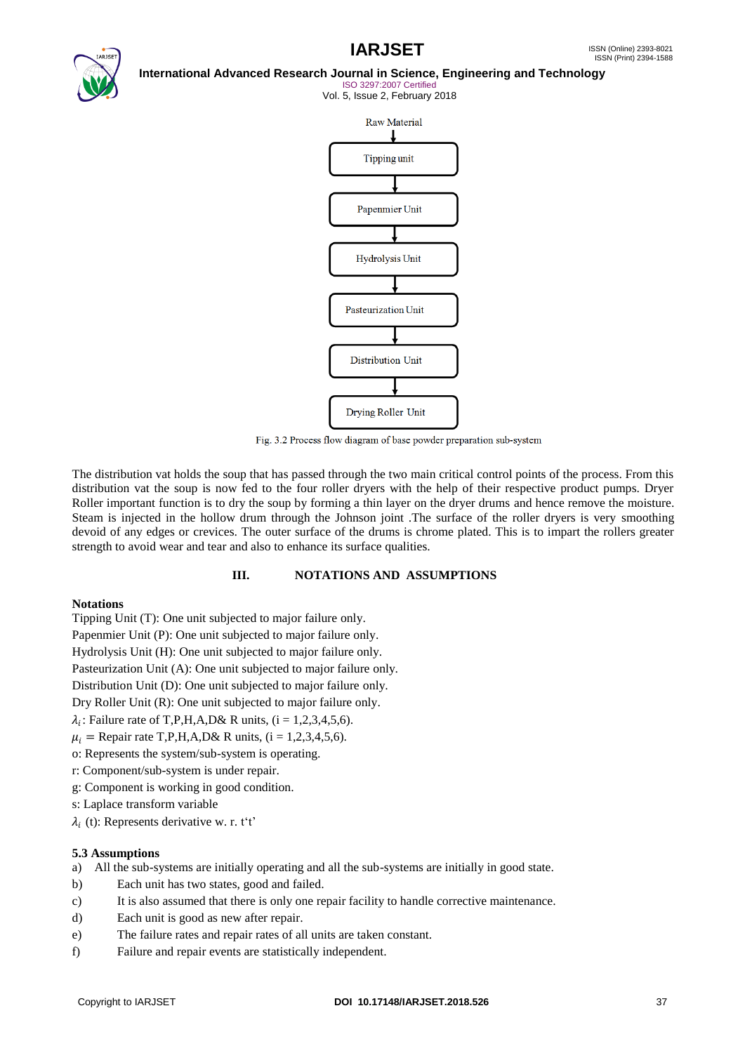

### **International Advanced Research Journal in Science, Engineering and Technology**

ISO 3297:2007 Certified Vol. 5, Issue 2, February 2018



Fig. 3.2 Process flow diagram of base powder preparation sub-system

The distribution vat holds the soup that has passed through the two main critical control points of the process. From this distribution vat the soup is now fed to the four roller dryers with the help of their respective product pumps. Dryer Roller important function is to dry the soup by forming a thin layer on the dryer drums and hence remove the moisture. Steam is injected in the hollow drum through the Johnson joint .The surface of the roller dryers is very smoothing devoid of any edges or crevices. The outer surface of the drums is chrome plated. This is to impart the rollers greater strength to avoid wear and tear and also to enhance its surface qualities.

#### **III. NOTATIONS AND ASSUMPTIONS**

#### **Notations**

Tipping Unit (T): One unit subjected to major failure only.

Papenmier Unit (P): One unit subjected to major failure only.

Hydrolysis Unit (H): One unit subjected to major failure only.

Pasteurization Unit (A): One unit subjected to major failure only.

Distribution Unit (D): One unit subjected to major failure only.

Dry Roller Unit (R): One unit subjected to major failure only.

 $\lambda_i$ : Failure rate of T,P,H,A,D& R units, (i = 1,2,3,4,5,6).

 $u_i =$ Repair rate T,P,H,A,D& R units, (i = 1,2,3,4,5,6).

- o: Represents the system/sub-system is operating.
- r: Component/sub-system is under repair.
- g: Component is working in good condition.
- s: Laplace transform variable
- $\lambda_i$  (t): Represents derivative w. r. t't'

# **5.3 Assumptions**

- a) All the sub-systems are initially operating and all the sub-systems are initially in good state.
- b) Each unit has two states, good and failed.
- c) It is also assumed that there is only one repair facility to handle corrective maintenance.
- d) Each unit is good as new after repair.
- e) The failure rates and repair rates of all units are taken constant.
- f) Failure and repair events are statistically independent.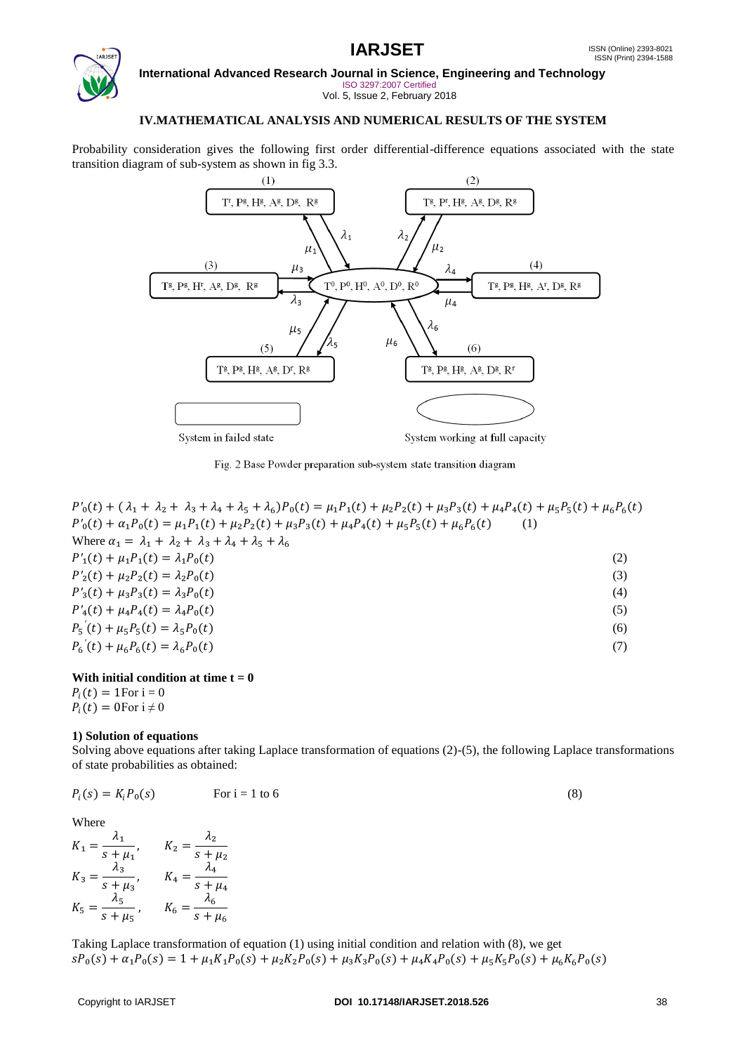

**International Advanced Research Journal in Science, Engineering and Technology**

ISO 3297:2007 Certified Vol. 5, Issue 2, February 2018

# **IV.MATHEMATICAL ANALYSIS AND NUMERICAL RESULTS OF THE SYSTEM**

Probability consideration gives the following first order differential-difference equations associated with the state transition diagram of sub-system as shown in fig 3.3.



Fig. 2 Base Powder preparation sub-system state transition diagram

| $P'_0(t) + (\lambda_1 + \lambda_2 + \lambda_3 + \lambda_4 + \lambda_5 + \lambda_6)P_0(t) = \mu_1 P_1(t) + \mu_2 P_2(t) + \mu_3 P_3(t) + \mu_4 P_4(t) + \mu_5 P_5(t) + \mu_6 P_6(t)$ |     |
|-------------------------------------------------------------------------------------------------------------------------------------------------------------------------------------|-----|
| $P'_0(t) + \alpha_1 P_0(t) = \mu_1 P_1(t) + \mu_2 P_2(t) + \mu_3 P_3(t) + \mu_4 P_4(t) + \mu_5 P_5(t) + \mu_6 P_6(t)$                                                               | (1) |
| Where $\alpha_1 = \lambda_1 + \lambda_2 + \lambda_3 + \lambda_4 + \lambda_5 + \lambda_6$                                                                                            |     |
| $P'_1(t) + \mu_1 P_1(t) = \lambda_1 P_0(t)$                                                                                                                                         | (2) |
| $P'_2(t) + \mu_2 P_2(t) = \lambda_2 P_0(t)$                                                                                                                                         | (3) |
| $P'_{3}(t) + \mu_{3}P_{3}(t) = \lambda_{3}P_{0}(t)$                                                                                                                                 | (4) |
| $P'_4(t) + \mu_4 P_4(t) = \lambda_4 P_0(t)$                                                                                                                                         | (5) |
| $P_5(t) + \mu_5 P_5(t) = \lambda_5 P_0(t)$                                                                                                                                          | (6) |
| $P_6(t) + \mu_6 P_6(t) = \lambda_6 P_0(t)$                                                                                                                                          | (7) |
|                                                                                                                                                                                     |     |

# With initial condition at time  $t = 0$

 $P_i(t) = 1$ For i = 0  $P_i(t) = 0$ For  $i \neq 0$ 

# **1) Solution of equations**

Solving above equations after taking Laplace transformation of equations (2)-(5), the following Laplace transformations of state probabilities as obtained:

$$
P_i(s) = K_i P_0(s) \qquad \text{For } i = 1 \text{ to } 6
$$
 (8)

Where

$$
K_1 = \frac{\lambda_1}{s + \mu_1}, \qquad K_2 = \frac{\lambda_2}{s + \mu_2}
$$
  

$$
K_3 = \frac{\lambda_3}{s + \mu_3}, \qquad K_4 = \frac{\lambda_4}{s + \mu_4}
$$
  

$$
K_5 = \frac{\lambda_5}{s + \mu_5}, \qquad K_6 = \frac{\lambda_6}{s + \mu_6}
$$

Taking Laplace transformation of equation (1) using initial condition and relation with (8), we get  $sP_0(s) + \alpha_1 P_0(s) = 1 + \mu_1 K_1 P_0(s) + \mu_2 K_2 P_0(s) + \mu_3 K_3 P_0(s) + \mu_4 K_4 P_0(s) + \mu_5 K_5 P_0(s) + \mu_6 K_6 P_0(s)$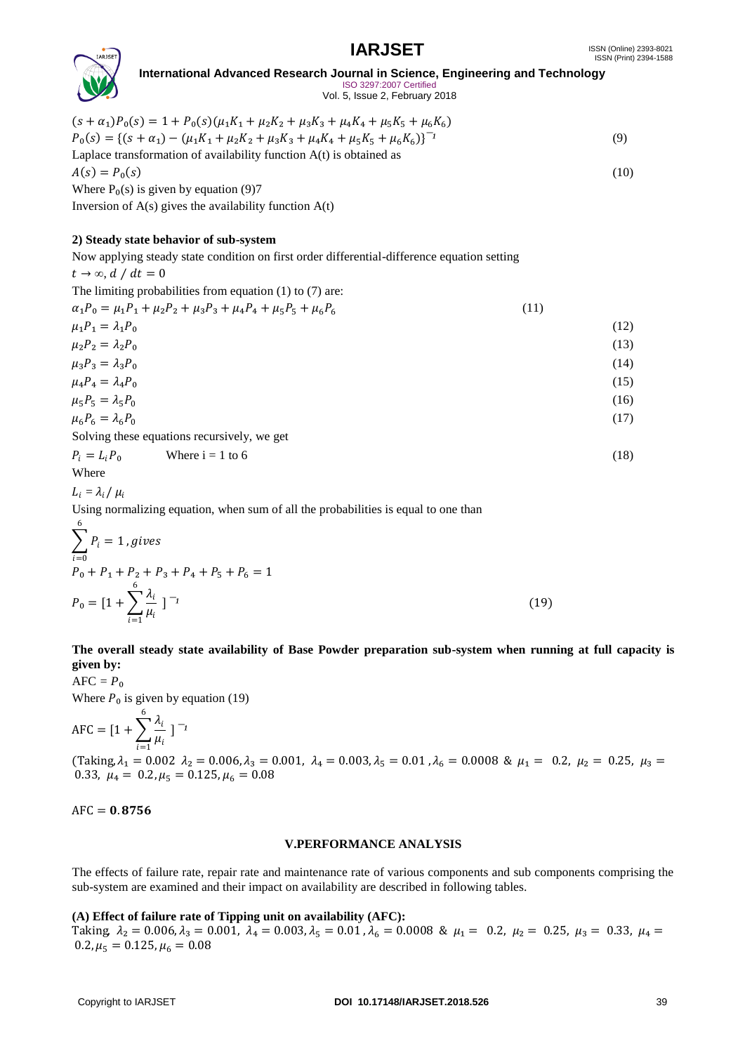

#### **International Advanced Research Journal in Science, Engineering and Technology** ISO 3297:2007 Certified Vol. 5, Issue 2, February 2018

 $(s + \alpha_1)P_0(s) = 1 + P_0(s)(\mu_1K_1 + \mu_2K_2 + \mu_3K_3 + \mu_4K_4 + \mu_5K_5 + \mu_6K_6)$  $P_0(s) = \{(s + \alpha_1) - (\mu_1 K_1 + \mu_2 K_2 + \mu_3 K_3 + \mu_4 K_4 + \mu_5 K_5 + \mu_6 K_6)\}^{-1}$  (9) Laplace transformation of availability function A(t) is obtained as  $A(s) = P_0(s)$  (10) Where  $P_0(s)$  is given by equation (9)7 Inversion of  $A(s)$  gives the availability function  $A(t)$ 

# **2) Steady state behavior of sub-system**

Now applying steady state condition on first order differential-difference equation setting  $t \rightarrow \infty$ ,  $d / dt = 0$ 

The limiting probabilities from equation (1) to (7) are:

 $\alpha_1 P_0 = \mu_1 P_1 + \mu_2 P_2 + \mu_3 P_3 + \mu_4 P_4 + \mu_5 P_5 + \mu_6 P_6$ (11)

$$
\mu_1 P_1 = \lambda_1 P_0 \tag{12}
$$
\n
$$
\mu_2 P_2 = \lambda_2 P_0 \tag{13}
$$
\n
$$
\mu_3 P_3 = \lambda_3 P_0 \tag{14}
$$
\n
$$
\mu_4 P_4 = \lambda_4 P_0 \tag{15}
$$
\n
$$
\mu_5 P_5 = \lambda_5 P_0 \tag{16}
$$
\n
$$
\mu_6 P_6 = \lambda_6 P_0 \tag{17}
$$
\nSolving these equations recursively, we get

Solving these equations recursively, we go

$$
P_i = L_i P_0
$$
 Where  $i = 1$  to 6 (18)  
Where

 $L_i = \lambda_i / \mu_i$ 

Using normalizing equation, when sum of all the probabilities is equal to one than

$$
\sum_{i=0}^{6} P_i = 1, gives
$$
  
\n
$$
P_0 + P_1 + P_2 + P_3 + P_4 + P_5 + P_6 = 1
$$
  
\n
$$
P_0 = [1 + \sum_{i=1}^{6} \frac{\lambda_i}{\mu_i}]^{-1}
$$
\n(19)

**The overall steady state availability of Base Powder preparation sub-system when running at full capacity is given by:**

 $AFC = P_0$ Where  $P_0$  is given by equation (19)

$$
AFC = [1 + \sum_{i=1}^{6} \frac{\lambda_i}{\mu_i}]^{-1}
$$

 $\Delta_1 = 0.002 \lambda_2 = 0.006, \lambda_3 = 0.001, \lambda_4 = 0.003, \lambda_5 = 0.01, \lambda_6 = 0.0008 \& \mu_1 = 0.2, \mu_2 = 0.25, \mu_3 = 0.0008$ 0.33,  $\mu_4 = 0.2, \mu_5 = 0.125, \mu_6 = 0.08$ 

 $AFC = 0.8756$ 

# **V.PERFORMANCE ANALYSIS**

The effects of failure rate, repair rate and maintenance rate of various components and sub components comprising the sub-system are examined and their impact on availability are described in following tables.

# **(A) Effect of failure rate of Tipping unit on availability (AFC):**

Taking,  $\lambda_2 = 0.006$ ,  $\lambda_3 = 0.001$ ,  $\lambda_4 = 0.003$ ,  $\lambda_5 = 0.01$ ,  $\lambda_6 = 0.0008$  &  $\mu_1 = 0.2$ ,  $\mu_2 = 0.25$ ,  $\mu_3 = 0.33$ ,  $\mu_4 = 0.001$  $0.2, \mu_5 = 0.125, \mu_6 = 0.08$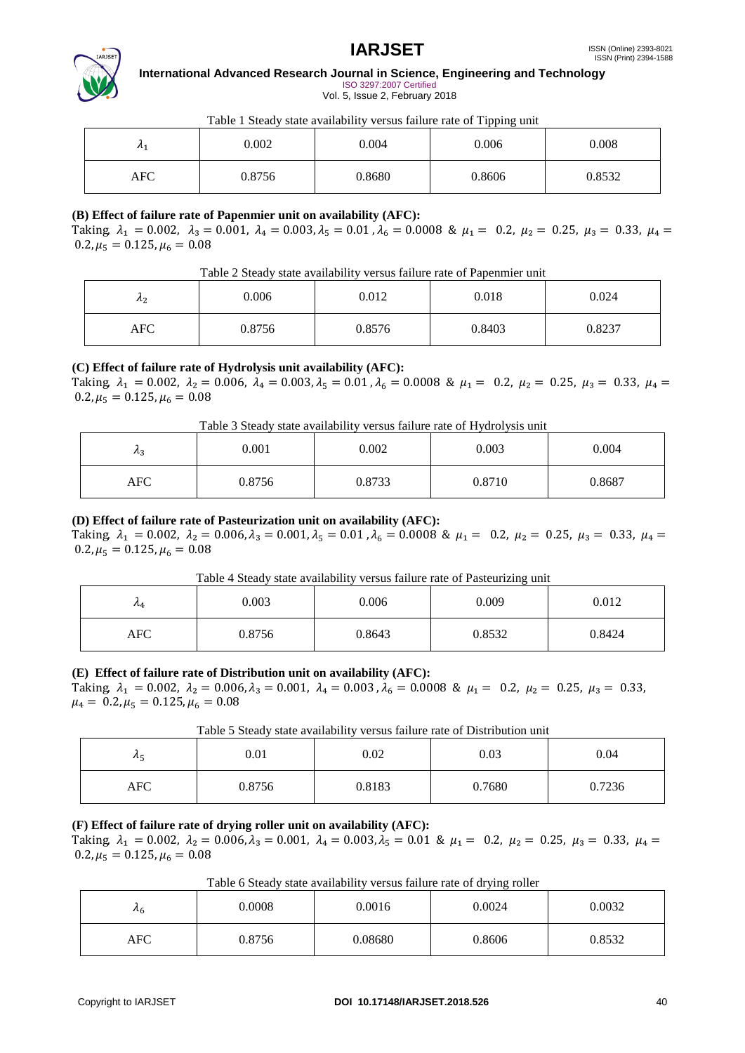

**International Advanced Research Journal in Science, Engineering and Technology** ISO 3297:2007 Certified

Vol. 5, Issue 2, February 2018

# Table 1 Steady state availability versus failure rate of Tipping unit

| $n_1$      | 0.002  | 0.004  | 0.006  | 0.008  |
|------------|--------|--------|--------|--------|
| <b>AFC</b> | 0.8756 | 0.8680 | 0.8606 | 0.8532 |

# **(B) Effect of failure rate of Papenmier unit on availability (AFC):**

Taking,  $\lambda_1 = 0.002$ ,  $\lambda_3 = 0.001$ ,  $\lambda_4 = 0.003$ ,  $\lambda_5 = 0.01$ ,  $\lambda_6 = 0.0008$  &  $\mu_1 = 0.2$ ,  $\mu_2 = 0.25$ ,  $\mu_3 = 0.33$ ,  $\mu_4 = 0.002$  $0.2, \mu_5 = 0.125, \mu_6 = 0.08$ 

| Table 2 Steady state availability versus failure rate of Papenmier unit |  |  |
|-------------------------------------------------------------------------|--|--|
|                                                                         |  |  |

| $\lambda_2$ | 0.006  | 0.012  | 0.018  | 0.024  |
|-------------|--------|--------|--------|--------|
| <b>AFC</b>  | 0.8756 | 0.8576 | 0.8403 | 0.8237 |

# **(C) Effect of failure rate of Hydrolysis unit availability (AFC):**

Taking,  $\lambda_1 = 0.002$ ,  $\lambda_2 = 0.006$ ,  $\lambda_4 = 0.003$ ,  $\lambda_5 = 0.01$ ,  $\lambda_6 = 0.0008$  &  $\mu_1 = 0.2$ ,  $\mu_2 = 0.25$ ,  $\mu_3 = 0.33$ ,  $\mu_4 =$  $0.2, \mu_5 = 0.125, \mu_6 = 0.08$ 

Table 3 Steady state availability versus failure rate of Hydrolysis unit

| $\lambda_3$ | 0.001  | 0.002  | 0.003  | 0.004  |
|-------------|--------|--------|--------|--------|
| <b>AFC</b>  | 0.8756 | 0.8733 | 0.8710 | 0.8687 |

# **(D) Effect of failure rate of Pasteurization unit on availability (AFC):**

Taking,  $\lambda_1 = 0.002$ ,  $\lambda_2 = 0.006$ ,  $\lambda_3 = 0.001$ ,  $\lambda_5 = 0.01$ ,  $\lambda_6 = 0.0008$  &  $\mu_1 = 0.2$ ,  $\mu_2 = 0.25$ ,  $\mu_3 = 0.33$ ,  $\mu_4 =$  $0.2, \mu_5 = 0.125, \mu_6 = 0.08$ 

Table 4 Steady state availability versus failure rate of Pasteurizing unit

| $n_4$      | 0.003  | 0.006  | 0.009  | 0.012  |
|------------|--------|--------|--------|--------|
| <b>AFC</b> | 0.8756 | 0.8643 | 0.8532 | 0.8424 |

# **(E) Effect of failure rate of Distribution unit on availability (AFC):**

Taking,  $\lambda_1 = 0.002$ ,  $\lambda_2 = 0.006$ ,  $\lambda_3 = 0.001$ ,  $\lambda_4 = 0.003$ ,  $\lambda_6 = 0.0008$  &  $\mu_1 = 0.2$ ,  $\mu_2 = 0.25$ ,  $\mu_3 = 0.33$ ,  $\mu_4 = 0.2, \mu_5 = 0.125, \mu_6 = 0.08$ 

Table 5 Steady state availability versus failure rate of Distribution unit

| $\lambda_{5}$ | 0.01   | 0.02   | 0.03   | 0.04   |
|---------------|--------|--------|--------|--------|
| <b>AFC</b>    | 0.8756 | 0.8183 | 0.7680 | 0.7236 |

# **(F) Effect of failure rate of drying roller unit on availability (AFC):**

Taking,  $\lambda_1 = 0.002$ ,  $\lambda_2 = 0.006$ ,  $\lambda_3 = 0.001$ ,  $\lambda_4 = 0.003$ ,  $\lambda_5 = 0.01$  &  $\mu_1 = 0.2$ ,  $\mu_2 = 0.25$ ,  $\mu_3 = 0.33$ ,  $\mu_4 =$  $0.2, \mu_5 = 0.125, \mu_6 = 0.08$ 

Table 6 Steady state availability versus failure rate of drying roller

| $\mathcal{A}_6$ | 0.0008 | 0.0016  | $\tilde{\phantom{a}}$<br>0.0024 | 0.0032 |
|-----------------|--------|---------|---------------------------------|--------|
| AFC             | 0.8756 | 0.08680 | 0.8606                          | 0.8532 |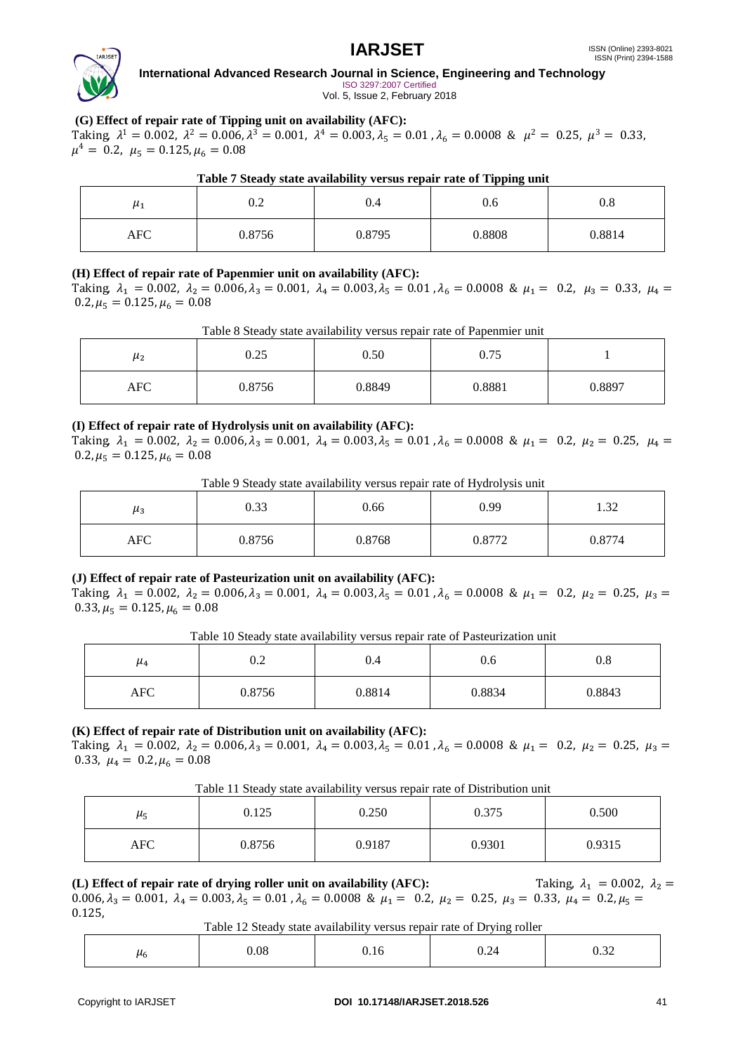

 $\blacksquare$ 

# **International Advanced Research Journal in Science, Engineering and Technology** ISO 3297:2007 Certified

Vol. 5, Issue 2, February 2018

# **(G) Effect of repair rate of Tipping unit on availability (AFC):**

Taking,  $\lambda^1 = 0.002$ ,  $\lambda^2 = 0.006$ ,  $\lambda^3 = 0.001$ ,  $\lambda^4 = 0.003$ ,  $\lambda_5 = 0.01$ ,  $\lambda_6 = 0.0008$  &  $\mu^2 = 0.25$ ,  $\mu^3 = 0.33$ ,  $\mu^4 = 0.2$ ,  $\mu_5 = 0.125$ ,  $\mu_6 = 0.08$ 

| Table 7 Steady state availability versus repair rate of Tipping unit |        |        |        |        |  |
|----------------------------------------------------------------------|--------|--------|--------|--------|--|
| $\mu_1$                                                              |        | 0.4    | 0.6    | 0.8    |  |
| AFC                                                                  | 0.8756 | 0.8795 | 0.8808 | 0.8814 |  |

# **(H) Effect of repair rate of Papenmier unit on availability (AFC):**

Taking,  $\lambda_1 = 0.002$ ,  $\lambda_2 = 0.006$ ,  $\lambda_3 = 0.001$ ,  $\lambda_4 = 0.003$ ,  $\lambda_5 = 0.01$ ,  $\lambda_6 = 0.0008$  &  $\mu_1 = 0.2$ ,  $\mu_3 = 0.33$ ,  $\mu_4 = 0.002$  $0.2, \mu_5 = 0.125, \mu_6 = 0.08$ 

| μ2         | 0.25   | Tuolo o Dicau i baato a famaomiti Terbab repair rato or I apennier anni<br>0.50 | 0.75   |        |
|------------|--------|---------------------------------------------------------------------------------|--------|--------|
| <b>AFC</b> | 0.8756 | 0.8849                                                                          | 0.8881 | 0.8897 |

# Table 8 Steady state availability versus repair rate of Papenmier unit

# **(I) Effect of repair rate of Hydrolysis unit on availability (AFC):**

Taking,  $\lambda_1 = 0.002$ ,  $\lambda_2 = 0.006$ ,  $\lambda_3 = 0.001$ ,  $\lambda_4 = 0.003$ ,  $\lambda_5 = 0.01$ ,  $\lambda_6 = 0.0008$  &  $\mu_1 = 0.2$ ,  $\mu_2 = 0.25$ ,  $\mu_4 = 0.002$  $0.2, \mu_5 = 0.125, \mu_6 = 0.08$ 

|  | Table 9 Steady state availability versus repair rate of Hydrolysis unit |      |  |
|--|-------------------------------------------------------------------------|------|--|
|  | ი 66                                                                    | n oo |  |

| $\mu_3$    | 0.33   | 0.66   | 0.99   | $\Omega$<br>$\overline{1}$ |
|------------|--------|--------|--------|----------------------------|
| <b>AFC</b> | 0.8756 | 0.8768 | 0.8772 | 0.8774                     |

# **(J) Effect of repair rate of Pasteurization unit on availability (AFC):**

Taking,  $\lambda_1 = 0.002$ ,  $\lambda_2 = 0.006$ ,  $\lambda_3 = 0.001$ ,  $\lambda_4 = 0.003$ ,  $\lambda_5 = 0.01$ ,  $\lambda_6 = 0.0008$  &  $\mu_1 = 0.2$ ,  $\mu_2 = 0.25$ ,  $\mu_3 = 0.002$  $0.33, \mu_5 = 0.125, \mu_6 = 0.08$ 

Table 10 Steady state availability versus repair rate of Pasteurization unit

| $\mu_4$ | 0.2    | 0.4    | 0.6    | 0.8    |
|---------|--------|--------|--------|--------|
| AFC     | 0.8756 | 0.8814 | 0.8834 | 0.8843 |

# **(K) Effect of repair rate of Distribution unit on availability (AFC):**

Taking,  $\lambda_1 = 0.002$ ,  $\lambda_2 = 0.006$ ,  $\lambda_3 = 0.001$ ,  $\lambda_4 = 0.003$ ,  $\lambda_5 = 0.01$ ,  $\lambda_6 = 0.0008$  &  $\mu_1 = 0.2$ ,  $\mu_2 = 0.25$ ,  $\mu_3 = 0.002$ 0.33,  $\mu_4 = 0.2$ ,  $\mu_6 = 0.08$ 

Table 11 Steady state availability versus repair rate of Distribution unit

| μ5  | 0.125  | 0.250  | 0.375  | 0.500  |
|-----|--------|--------|--------|--------|
| AFC | 0.8756 | 0.9187 | 0.9301 | 0.9315 |

**(L) Effect of repair rate of drying roller unit on availability (AFC):** Taking,  $\lambda_1 = 0.002$ ,  $\lambda_2 =$ 0.006,  $\lambda_3 = 0.001$ ,  $\lambda_4 = 0.003$ ,  $\lambda_5 = 0.01$ ,  $\lambda_6 = 0.0008$  &  $\mu_1 = 0.2$ ,  $\mu_2 = 0.25$ ,  $\mu_3 = 0.33$ ,  $\mu_4 = 0.2$ ,  $\mu_5 = 0.001$ 0.125,

#### Table 12 Steady state availability versus repair rate of Drying roller

| ~<br>۰u | 0.08 | 0.16 | $\sim$<br>∪.∠+ | 2.22<br>∪⊷∠ |
|---------|------|------|----------------|-------------|
|---------|------|------|----------------|-------------|